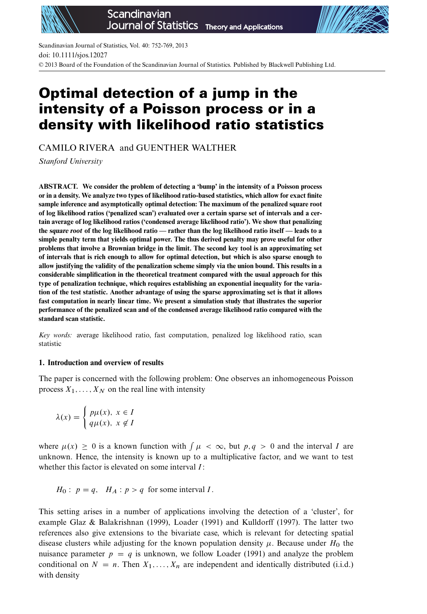



# **Optimal detection of a jump in the intensity of a Poisson process or in a density with likelihood ratio statistics**

CAMILO RIVERA and GUENTHER WALTHER

*Stanford University*

**ABSTRACT. We consider the problem of detecting a 'bump' in the intensity of a Poisson process or in a density. We analyze two types of likelihood ratio-based statistics, which allow for exact finite sample inference and asymptotically optimal detection: The maximum of the penalized square root of log likelihood ratios ('penalized scan') evaluated over a certain sparse set of intervals and a certain average of log likelihood ratios ('condensed average likelihood ratio'). We show that penalizing the square root of the log likelihood ratio — rather than the log likelihood ratio itself — leads to a simple penalty term that yields optimal power. The thus derived penalty may prove useful for other problems that involve a Brownian bridge in the limit. The second key tool is an approximating set of intervals that is rich enough to allow for optimal detection, but which is also sparse enough to allow justifying the validity of the penalization scheme simply via the union bound. This results in a considerable simplification in the theoretical treatment compared with the usual approach for this type of penalization technique, which requires establishing an exponential inequality for the variation of the test statistic. Another advantage of using the sparse approximating set is that it allows fast computation in nearly linear time. We present a simulation study that illustrates the superior performance of the penalized scan and of the condensed average likelihood ratio compared with the standard scan statistic.**

*Key words:* average likelihood ratio, fast computation, penalized log likelihood ratio, scan statistic

### **1. Introduction and overview of results**

The paper is concerned with the following problem: One observes an inhomogeneous Poisson process  $X_1, \ldots, X_N$  on the real line with intensity

$$
\lambda(x) = \begin{cases} p\mu(x), & x \in I \\ q\mu(x), & x \notin I \end{cases}
$$

where  $\mu(x) \ge 0$  is a known function with  $\int \mu < \infty$ , but  $p, q > 0$  and the interval I are unknown. Hence, the intensity is known up to a multiplicative factor, and we want to test whether this factor is elevated on some interval  $I$ :

 $H_0: p = q$ ,  $H_A: p > q$  for some interval I.

This setting arises in a number of applications involving the detection of a 'cluster', for example [Glaz & Balakrishnan \(1999\)](#page--1-0), [Loader \(1991\)](#page--1-1) and [Kulldorff \(1997\)](#page--1-2). The latter two references also give extensions to the bivariate case, which is relevant for detecting spatial disease clusters while adjusting for the known population density  $\mu$ . Because under  $H_0$  the nuisance parameter  $p = q$  is unknown, we follow [Loader \(1991\)](#page--1-1) and analyze the problem conditional on  $N = n$ . Then  $X_1, \ldots, X_n$  are independent and identically distributed (i.i.d.) with density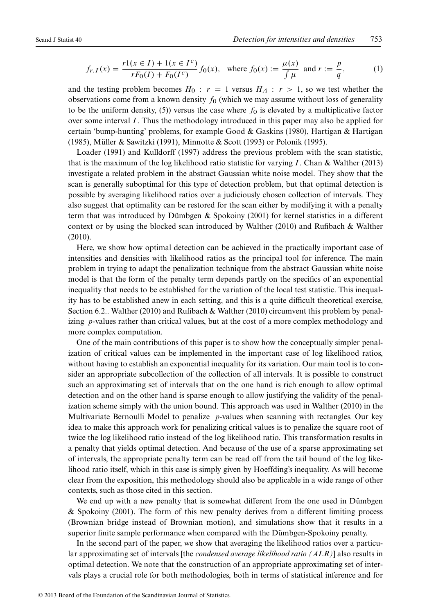$$
f_{r,I}(x) = \frac{r1(x \in I) + 1(x \in I^c)}{rF_0(I) + F_0(I^c)} f_0(x), \text{ where } f_0(x) := \frac{\mu(x)}{\int \mu} \text{ and } r := \frac{p}{q},
$$
 (1)

and the testing problem becomes  $H_0$ :  $r = 1$  versus  $H_A$ :  $r > 1$ , so we test whether the observations come from a known density  $f_0$  (which we may assume without loss of generality to be the uniform density, [\(5\)](#page-6-0)) versus the case where  $f_0$  is elevated by a multiplicative factor over some interval I. Thus the methodology introduced in this paper may also be applied for certain 'bump-hunting' problems, for example [Good & Gaskins \(1980\)](#page-17-0), Hartigan & Hartigan (1985), [Müller & Sawitzki \(1991\)](#page-17-1), [Minnotte & Scott \(1993\)](#page-17-2) or [Polonik \(1995\)](#page-17-3).

[Loader \(1991\)](#page-17-4) and [Kulldorff \(1997\)](#page-17-5) address the previous problem with the scan statistic, that is the maximum of the log likelihood ratio statistic for varying I. [Chan & Walther \(2013\)](#page-17-6) investigate a related problem in the abstract Gaussian white noise model. They show that the scan is generally suboptimal for this type of detection problem, but that optimal detection is possible by averaging likelihood ratios over a judiciously chosen collection of intervals. They also suggest that optimality can be restored for the scan either by modifying it with a penalty term that was introduced by [Dümbgen & Spokoiny \(2001\)](#page-17-7) for kernel statistics in a different context or by using the blocked scan introduced by [Walther \(2010\)](#page-17-8) and Rufibach & Walther (2010).

Here, we show how optimal detection can be achieved in the practically important case of intensities and densities with likelihood ratios as the principal tool for inference. The main problem in trying to adapt the penalization technique from the abstract Gaussian white noise model is that the form of the penalty term depends partly on the specifics of an exponential inequality that needs to be established for the variation of the local test statistic. This inequality has to be established anew in each setting, and this is a quite difficult theoretical exercise, Section [6.2..](#page-9-0) [Walther \(2010\)](#page-17-8) and [Rufibach & Walther \(2010\)](#page-17-9) circumvent this problem by penalizing *p*-values rather than critical values, but at the cost of a more complex methodology and more complex computation.

One of the main contributions of this paper is to show how the conceptually simpler penalization of critical values can be implemented in the important case of log likelihood ratios, without having to establish an exponential inequality for its variation. Our main tool is to consider an appropriate subcollection of the collection of all intervals. It is possible to construct such an approximating set of intervals that on the one hand is rich enough to allow optimal detection and on the other hand is sparse enough to allow justifying the validity of the penalization scheme simply with the union bound. This approach was used in [Walther \(2010\)](#page-17-8) in the Multivariate Bernoulli Model to penalize *p*-values when scanning with rectangles. Our key idea to make this approach work for penalizing critical values is to penalize the square root of twice the log likelihood ratio instead of the log likelihood ratio. This transformation results in a penalty that yields optimal detection. And because of the use of a sparse approximating set of intervals, the appropriate penalty term can be read off from the tail bound of the log likelihood ratio itself, which in this case is simply given by Hoeffding's inequality. As will become clear from the exposition, this methodology should also be applicable in a wide range of other contexts, such as those cited in this section.

We end up with a new penalty that is somewhat different from the one used in Dümbgen & Spokoiny (2001). The form of this new penalty derives from a different limiting process (Brownian bridge instead of Brownian motion), and simulations show that it results in a superior finite sample performance when compared with the Dümbgen-Spokoiny penalty.

In the second part of the paper, we show that averaging the likelihood ratios over a particular approximating set of intervals [the *condensed average likelihood ratio (ALR)*] also results in optimal detection. We note that the construction of an appropriate approximating set of intervals plays a crucial role for both methodologies, both in terms of statistical inference and for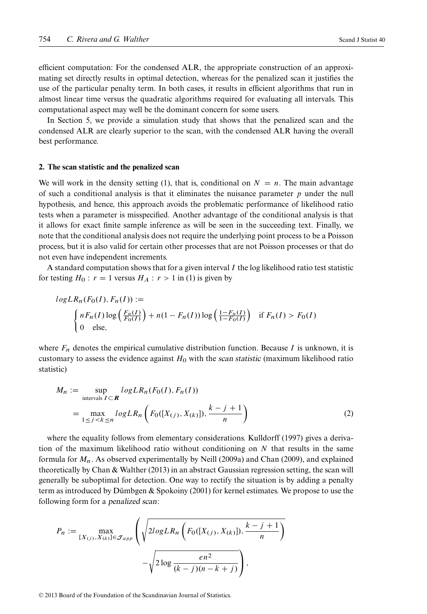efficient computation: For the condensed ALR, the appropriate construction of an approximating set directly results in optimal detection, whereas for the penalized scan it justifies the use of the particular penalty term. In both cases, it results in efficient algorithms that run in almost linear time versus the quadratic algorithms required for evaluating all intervals. This computational aspect may well be the dominant concern for some users.

In Section [5,](#page-6-0) we provide a simulation study that shows that the penalized scan and the condensed ALR are clearly superior to the scan, with the condensed ALR having the overall best performance.

#### **2. The scan statistic and the penalized scan**

We will work in the density setting [\(1\)](#page--1-3), that is, conditional on  $N = n$ . The main advantage of such a conditional analysis is that it eliminates the nuisance parameter  $p$  under the null hypothesis, and hence, this approach avoids the problematic performance of likelihood ratio tests when a parameter is misspecified. Another advantage of the conditional analysis is that it allows for exact finite sample inference as will be seen in the succeeding text. Finally, we note that the conditional analysis does not require the underlying point process to be a Poisson process, but it is also valid for certain other processes that are not Poisson processes or that do not even have independent increments.

A standard computation shows that for a given interval  $I$  the log likelihood ratio test statistic for testing  $H_0$ :  $r = 1$  versus  $H_A$ :  $r > 1$  in [\(1\)](#page--1-3) is given by

$$
logLR_n(F_0(I), F_n(I)) :=
$$
  
\n
$$
\begin{cases}\nnF_n(I) \log \left( \frac{F_n(I)}{F_0(I)} \right) + n(1 - F_n(I)) \log \left( \frac{1 - F_n(I)}{1 - F_0(I)} \right) & \text{if } F_n(I) > F_0(I) \\
0 & \text{else,} \n\end{cases}
$$

where  $F_n$  denotes the empirical cumulative distribution function. Because I is unknown, it is customary to assess the evidence against  $H_0$  with the scan statistic (maximum likelihood ratio statistic)

$$
M_n := \sup_{\text{intervals } I \subset \mathbf{R}} logLR_n(F_0(I), F_n(I))
$$
  
= 
$$
\max_{1 \le j < k \le n} logLR_n\left(F_0([X_{(j)}, X_{(k)}]), \frac{k-j+1}{n}\right)
$$
 (2)

where the equality follows from elementary considerations. [Kulldorff \(1997\)](#page-17-5) gives a derivation of the maximum likelihood ratio without conditioning on  $N$  that results in the same formula for  $M_n$ . As observed experimentally by [Neill \(2009a\)](#page-17-10) and [Chan \(2009\)](#page-17-11), and explained theoretically by [Chan & Walther \(2013\)](#page-17-6) in an abstract Gaussian regression setting, the scan will generally be suboptimal for detection. One way to rectify the situation is by adding a penalty term as introduced by [Dümbgen & Spokoiny \(2001\)](#page-17-7) for kernel estimates. We propose to use the following form for a penalized scan:

$$
P_n := \max_{[X_{(j)}, X_{(k)}] \in \mathcal{J}_{app}} \left( \sqrt{2logLR_n \left( F_0([X_{(j)}, X_{(k)}]), \frac{k-j+1}{n} \right)} - \sqrt{2log \frac{en^2}{(k-j)(n-k+j)}} \right),
$$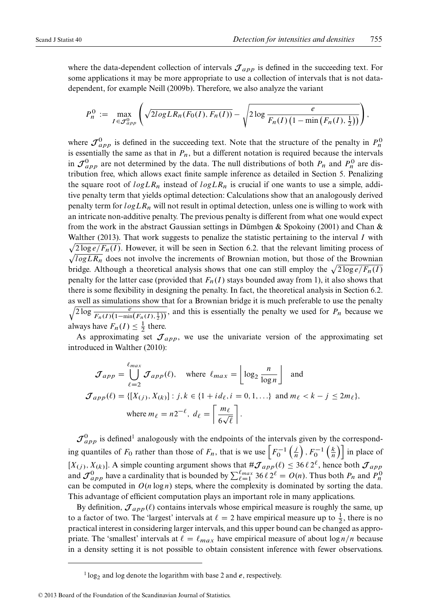where the data-dependent collection of intervals  $\mathcal{J}_{app}$  is defined in the succeeding text. For some applications it may be more appropriate to use a collection of intervals that is not datadependent, for example [Neill \(2009b\)](#page-17-12). Therefore, we also analyze the variant

$$
P_n^0 := \max_{I \in \mathcal{J}_{app}^0} \left( \sqrt{2logLR_n(F_0(I), F_n(I))} - \sqrt{2log \frac{e}{F_n(I)\left(1 - \min\left(F_n(I), \frac{1}{2}\right)\right)}} \right),
$$

where  $\mathcal{J}_{app}^0$  is defined in the succeeding text. Note that the structure of the penalty in  $P_n^0$ is essentially the same as that in  $P_n$ , but a different notation is required because the intervals in  $\mathcal{J}_{app}^0$  are not determined by the data. The null distributions of both  $P_n$  and  $P_n^0$  are distribution free, which allows exact finite sample inference as detailed in Section [5.](#page-6-0) Penalizing the square root of  $logLR_n$  instead of  $logLR_n$  is crucial if one wants to use a simple, additive penalty term that yields optimal detection: Calculations show that an analogously derived penalty term for  $logLR_n$  will not result in optimal detection, unless one is willing to work with an intricate non-additive penalty. The previous penalty is different from what one would expect from the work in the abstract Gaussian settings in [Dümbgen & Spokoiny \(2001\)](#page-17-7) and Chan & Walther (2013). That work suggests to penalize the statistic pertaining to the interval  $I$  with  $\sqrt{2 \log e/F_n(I)}$ . However, it will be seen in Section [6.2.](#page-9-0) that the relevant limiting process of  $\sqrt{\log LR_n}$  does not involve the increments of Brownian motion, but those of the Brownian bridge. Although a theoretical analysis shows that one can still employ the  $\sqrt{2 \log e/F_n(I)}$ penalty for the latter case (provided that  $F_n(I)$  stays bounded away from 1), it also shows that there is some flexibility in designing the penalty. In fact, the theoretical analysis in Section [6.2.](#page-9-0) as well as simulations show that for a Brownian bridge it is much preferable to use the penalty  $\sqrt{2 \log \frac{e}{F_n(I)(1-\min\{F_n(I),\frac{1}{2})\}}},$  and this is essentially the penalty we used for  $P_n$  because we always have  $F_n(I) \leq \frac{1}{2}$  there.

As approximating set  $\mathcal{J}_{app}$ , we use the univariate version of the approximating set introduced in [Walther \(2010\)](#page-17-8):

$$
\mathcal{J}_{app} = \bigcup_{\ell=2}^{\ell_{max}} \mathcal{J}_{app}(\ell), \quad \text{where } \ell_{max} = \left\lfloor \log_2 \frac{n}{\log n} \right\rfloor \text{ and}
$$

$$
\mathcal{J}_{app}(\ell) = \{ [X_{(j)}, X_{(k)}] : j, k \in \{1 + id_{\ell}, i = 0, 1, ...\} \text{ and } m_{\ell} < k - j \le 2m_{\ell} \},
$$

$$
\text{where } m_{\ell} = n2^{-\ell}, d_{\ell} = \left\lceil \frac{m_{\ell}}{6\sqrt{\ell}} \right\rceil.
$$

 $J_{app}^0$  is defined<sup>1</sup> analogously with the endpoints of the intervals given by the corresponding quantiles of  $F_0$  rather than those of  $F_n$ , that is we use  $\left[ F_0^{-1} \right]$  $\left(\frac{j}{n}\right)$  $\big)$  ,  $F_0^{-1}$  $\left(\frac{k}{n}\right)$  in place of  $[X_{(j)}, X_{(k)}].$  A simple counting argument shows that  $\#\mathcal{J}_{app}(\ell) \leq 36 \ell 2^{\ell}$ , hence both  $\mathcal{J}_{app}$ and  $\mathcal{J}_{app}^0$  have a cardinality that is bounded by  $\sum_{\ell=1}^{\ell_{max}} 36 \ell 2^{\ell} = O(n)$ . Thus both  $P_n$  and  $P_n^0$ can be computed in  $O(n \log n)$  steps, where the complexity is dominated by sorting the data. This advantage of efficient computation plays an important role in many applications.

By definition,  $\mathcal{J}_{app}(\ell)$  contains intervals whose empirical measure is roughly the same, up to a factor of two. The 'largest' intervals at  $\ell = 2$  have empirical measure up to  $\frac{1}{2}$ , there is no practical interest in considering larger intervals, and this upper bound can be changed as appropriate. The 'smallest' intervals at  $\ell = \ell_{max}$  have empirical measure of about log  $n/n$  because in a density setting it is not possible to obtain consistent inference with fewer observations.

<span id="page-3-0"></span> $1_{log_2}$  and log denote the logarithm with base 2 and e, respectively.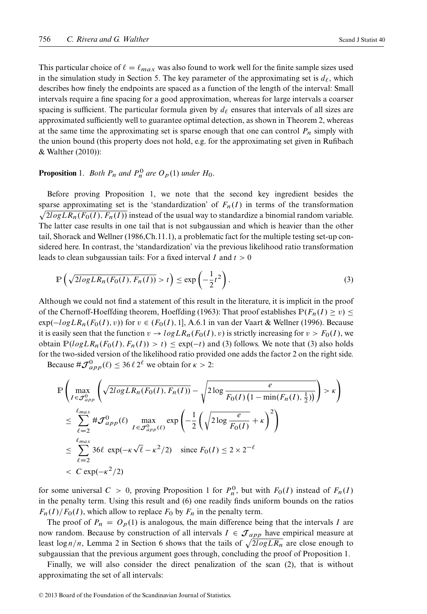This particular choice of  $\ell = \ell_{max}$  was also found to work well for the finite sample sizes used in the simulation study in Section [5.](#page-6-0) The key parameter of the approximating set is  $d_{\ell}$ , which describes how finely the endpoints are spaced as a function of the length of the interval: Small intervals require a fine spacing for a good approximation, whereas for large intervals a coarser spacing is sufficient. The particular formula given by  $d_\ell$  ensures that intervals of all sizes are approximated sufficiently well to guarantee optimal detection, as shown in Theorem [2,](#page-6-0) whereas at the same time the approximating set is sparse enough that one can control  $P_n$  simply with the union bound (this property does not hold, e.g. for the approximating set given in Rufibach & Walther (2010)):

# <span id="page-4-0"></span>**Proposition** 1. *Both*  $P_n$  *and*  $P_n^0$  *are*  $O_p(1)$  *under*  $H_0$ *.*

Before proving Proposition [1,](#page-4-0) we note that the second key ingredient besides the sparse approximating set is the 'standardization' of  $F_n(I)$  in terms of the transformation  $\sqrt{2logLR_n(F_0(I), F_n(I))}$  instead of the usual way to standardize a binomial random variable. The latter case results in one tail that is not subgaussian and which is heavier than the other tail, Shorack and Wellner [\(1986,](#page-17-13)Ch.11.1), a problematic fact for the multiple testing set-up considered here. In contrast, the 'standardization' via the previous likelihood ratio transformation leads to clean subgaussian tails: For a fixed interval I and  $t>0$ 

$$
\mathbb{P}\left(\sqrt{2logLR_n(F_0(I),F_n(I))} > t\right) \le \exp\left(-\frac{1}{2}t^2\right).
$$
\n(3)

Although we could not find a statement of this result in the literature, it is implicit in the proof of the Chernoff-Hoeffding theorem, [Hoeffding \(1963\)](#page-17-14): That proof establishes  $\mathbb{P}(F_n(I) \ge v) \le$  $exp(-logLR_n(F_0(I), v))$  for  $v \in (F_0(I), 1]$ , A.6.1 in [van der Vaart & Wellner \(1996\)](#page-17-15). Because it is easily seen that the function  $v \rightarrow logLR_n(F_0(I), v)$  is strictly increasing for  $v > F_0(I)$ , we obtain  $\mathbb{P}(logLR_n(F_0(I), F_n(I)) > t) \leq \exp(-t)$  and [\(3\)](#page-4-0) follows. We note that (3) also holds for the two-sided version of the likelihood ratio provided one adds the factor 2 on the right side.

Because  $\#\mathcal{J}_{app}^0(\ell) \leq 36 \ell \, 2^{\ell}$  we obtain for  $\kappa > 2$ :

$$
\mathbb{P}\left(\max_{I \in \mathcal{F}_{app}^0} \left(\sqrt{2\log LR_n(F_0(I), F_n(I))} - \sqrt{2\log \frac{e}{F_0(I)\left(1 - \min(F_n(I), \frac{1}{2})\right)}}\right) > \kappa\right)
$$
\n
$$
\leq \sum_{\ell=2}^{\ell_{max}} \# \mathcal{J}_{app}^0(\ell) \max_{I \in \mathcal{J}_{app}^0(\ell)} \exp\left(-\frac{1}{2}\left(\sqrt{2\log \frac{e}{F_0(I)}} + \kappa\right)^2\right)
$$
\n
$$
\leq \sum_{\ell=2}^{\ell_{max}} 36\ell \exp(-\kappa\sqrt{\ell} - \kappa^2/2) \quad \text{since } F_0(I) \leq 2 \times 2^{-\ell}
$$
\n
$$
< C \exp(-\kappa^2/2)
$$

for some universal  $C > 0$ , proving Proposition [1](#page-4-0) for  $P_n^0$ , but with  $F_0(I)$  instead of  $F_n(I)$ in the penalty term. Using this result and (6) one readily finds uniform bounds on the ratios  $F_n(I)/F_0(I)$ , which allow to replace  $F_0$  by  $F_n$  in the penalty term.

The proof of  $P_n = O_p(1)$  is analogous, the main difference being that the intervals I are now random. Because by construction of all intervals  $I \in \mathcal{J}_{app}$  have empirical measure at least log n/n, Lemma [2](#page-9-0) in Section 6 shows that the tails of  $\sqrt{2logLR_n}$  are close enough to subgaussian that the previous argument goes through, concluding the proof of Proposition [1.](#page-4-0)

Finally, we will also consider the direct penalization of the scan [\(2\)](#page--1-3), that is without approximating the set of all intervals: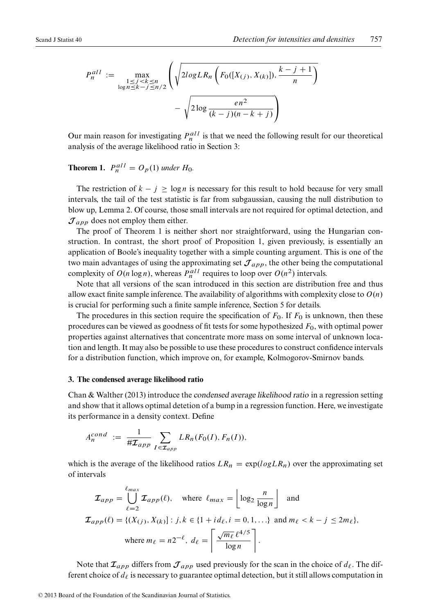$$
P_n^{all} := \max_{\substack{1 \le j < k \le n \\ \log n \le k - j \le n/2}} \left( \sqrt{2 \log L R_n \left( F_0([X_{(j)}, X_{(k)}]), \frac{k - j + 1}{n} \right)} - \sqrt{2 \log \frac{en^2}{(k - j)(n - k + j)}} \right)
$$

Our main reason for investigating  $P_n^{all}$  is that we need the following result for our theoretical analysis of the average likelihood ratio in Section [3:](#page-5-0)

# <span id="page-5-0"></span>**Theorem 1.**  $P_n^{all} = O_p(1)$  *under*  $H_0$ *.*

The restriction of  $k - j \geq \log n$  is necessary for this result to hold because for very small intervals, the tail of the test statistic is far from subgaussian, causing the null distribution to blow up, Lemma [2.](#page-9-0) Of course, those small intervals are not required for optimal detection, and  $\mathcal{J}_{app}$  does not employ them either.

The proof of Theorem [1](#page-5-0) is neither short nor straightforward, using the Hungarian construction. In contrast, the short proof of Proposition [1,](#page-4-0) given previously, is essentially an application of Boole's inequality together with a simple counting argument. This is one of the two main advantages of using the approximating set  $\mathcal{J}_{app}$ , the other being the computational complexity of  $O(n \log n)$ , whereas  $P_n^{all}$  requires to loop over  $O(n^2)$  intervals.

Note that all versions of the scan introduced in this section are distribution free and thus allow exact finite sample inference. The availability of algorithms with complexity close to  $O(n)$ is crucial for performing such a finite sample inference, Section [5](#page-6-0) for details.

The procedures in this section require the specification of  $F_0$ . If  $F_0$  is unknown, then these procedures can be viewed as goodness of fit tests for some hypothesized  $F_0$ , with optimal power properties against alternatives that concentrate more mass on some interval of unknown location and length. It may also be possible to use these procedures to construct confidence intervals for a distribution function, which improve on, for example, Kolmogorov-Smirnov bands.

#### **3. The condensed average likelihood ratio**

[Chan & Walther \(2013\)](#page-17-6) introduce the condensed average likelihood ratio in a regression setting and show that it allows optimal detetion of a bump in a regression function. Here, we investigate its performance in a density context. Define

$$
A_n^{cond} := \frac{1}{\# \mathcal{I}_{app}} \sum_{I \in \mathcal{I}_{app}} LR_n(F_0(I), F_n(I)),
$$

which is the average of the likelihood ratios  $LR_n = \exp(logLR_n)$  over the approximating set of intervals

$$
\mathcal{I}_{app} = \bigcup_{\ell=2}^{\ell_{max}} \mathcal{I}_{app}(\ell), \quad \text{where } \ell_{max} = \left\lfloor \log_2 \frac{n}{\log n} \right\rfloor \text{ and}
$$
\n
$$
\mathcal{I}_{app}(\ell) = \{ (X_{(j)}, X_{(k)}] : j, k \in \{1 + id_{\ell}, i = 0, 1, \ldots\} \text{ and } m_{\ell} < k - j \le 2m_{\ell} \},
$$
\n
$$
\text{where } m_{\ell} = n2^{-\ell}, \ d_{\ell} = \left\lceil \frac{\sqrt{m_{\ell}} \, \ell^{4/5}}{\log n} \right\rceil.
$$

Note that  $\mathcal{I}_{app}$  differs from  $\mathcal{J}_{app}$  used previously for the scan in the choice of  $d_\ell$ . The different choice of  $d_\ell$  is necessary to guarantee optimal detection, but it still allows computation in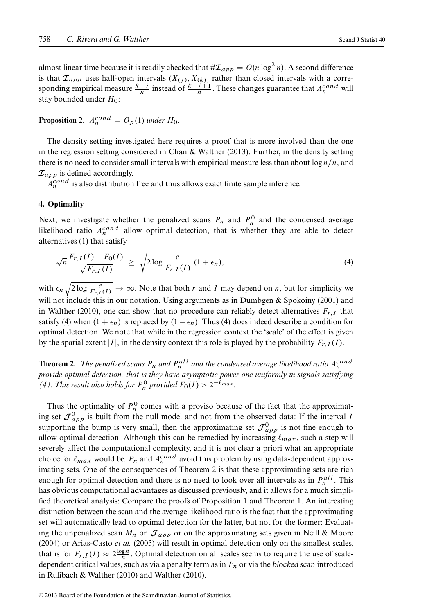almost linear time because it is readily checked that  $\#\mathcal{I}_{app} = O(n \log^2 n)$ . A second difference is that  $\mathcal{I}_{app}$  uses half-open intervals  $(X_{(j)}, X_{(k)})$  rather than closed intervals with a corresponding empirical measure  $\frac{k-j}{n}$  instead of  $\frac{k-j+1}{n}$ . These changes guarantee that  $A_n^{cond}$  will stay bounded under  $H_0$ :

<span id="page-6-1"></span>**Proposition** 2.  $A_n^{cond} = O_p(1)$  *under*  $H_0$ .

The density setting investigated here requires a proof that is more involved than the one in the regression setting considered in Chan  $\&$  Walther (2013). Further, in the density setting there is no need to consider small intervals with empirical measure less than about  $\log n/n$ , and  $\mathcal{I}_{app}$  is defined accordingly.

 $A_n^{cond}$  is also distribution free and thus allows exact finite sample inference.

#### **4. Optimality**

Next, we investigate whether the penalized scans  $P_n$  and  $P_n^0$  and the condensed average likelihood ratio  $A_n^{cond}$  allow optimal detection, that is whether they are able to detect alternatives [\(1\)](#page--1-3) that satisfy

$$
\sqrt{n} \frac{F_{r,I}(I) - F_0(I)}{\sqrt{F_{r,I}(I)}} \ge \sqrt{2 \log \frac{e}{F_{r,I}(I)}} (1 + \epsilon_n), \tag{4}
$$

with  $\epsilon_n \sqrt{2 \log \frac{e}{F_{r,I}(I)}} \to \infty$ . Note that both r and I may depend on n, but for simplicity we will not include this in our notation. Using arguments as in [Dümbgen & Spokoiny \(2001\)](#page-17-7) and in [Walther \(2010\)](#page-17-8), one can show that no procedure can reliably detect alternatives  $F_{r,I}$  that satisfy [\(4\)](#page-6-1) when  $(1 + \epsilon_n)$  is replaced by  $(1 - \epsilon_n)$ . Thus (4) does indeed describe a condition for optimal detection. We note that while in the regression context the 'scale' of the effect is given by the spatial extent |I|, in the density context this role is played by the probability  $F_{r,I}(I)$ .

<span id="page-6-0"></span>**Theorem 2.** The penalized scans  $P_n$  and  $P_n^{all}$  and the condensed average likelihood ratio  $A_n^{cond}$ *provide optimal detection, that is they have asymptotic power one uniformly in signals satisfying [\(4\)](#page-6-1). This result also holds for*  $P_n^0$  *provided*  $F_0(I) > 2^{-\ell_{max}}$ *.* 

Thus the optimality of  $P_n^0$  comes with a proviso because of the fact that the approximating set  $\mathcal{J}_{app}^0$  is built from the null model and not from the observed data: If the interval I supporting the bump is very small, then the approximating set  $\mathcal{J}_{app}^0$  is not fine enough to allow optimal detection. Although this can be remedied by increasing  $\ell_{max}$ , such a step will severely affect the computational complexity, and it is not clear a priori what an appropriate choice for  $\ell_{max}$  would be.  $P_n$  and  $A_n^{cond}$  avoid this problem by using data-dependent approximating sets. One of the consequences of Theorem [2](#page-6-0) is that these approximating sets are rich enough for optimal detection and there is no need to look over all intervals as in  $P_n^{all}$ . This has obvious computational advantages as discussed previously, and it allows for a much simplified theoretical analysis: Compare the proofs of Proposition [1](#page-4-0) and Theorem [1.](#page-5-0) An interesting distinction between the scan and the average likelihood ratio is the fact that the approximating set will automatically lead to optimal detection for the latter, but not for the former: Evaluating the unpenalized scan  $M_n$  on  $\mathcal{J}_{app}$  $\mathcal{J}_{app}$  $\mathcal{J}_{app}$  or on the approximating sets given in Neill & Moore (2004) or [Arias-Casto](#page-17-17) *et al.* (2005) will result in optimal detection only on the smallest scales, that is for  $F_{r,I}(I) \approx 2\frac{\log n}{n}$ . Optimal detection on all scales seems to require the use of scaledependent critical values, such as via a penalty term as in  $P_n$  or via the blocked scan introduced in [Rufibach & Walther \(2010\)](#page-17-9) and [Walther \(2010\)](#page-17-8).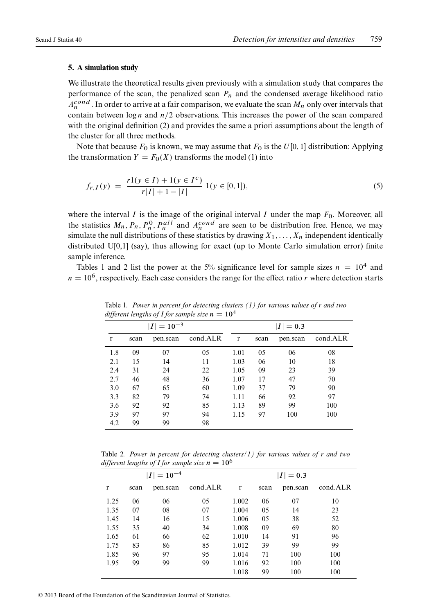#### **5. A simulation study**

We illustrate the theoretical results given previously with a simulation study that compares the performance of the scan, the penalized scan  $P_n$  and the condensed average likelihood ratio  $A_n^{cond}$ . In order to arrive at a fair comparison, we evaluate the scan  $M_n$  only over intervals that contain between  $\log n$  and  $n/2$  observations. This increases the power of the scan compared with the original definition [\(2\)](#page--1-3) and provides the same a priori assumptions about the length of the cluster for all three methods.

Note that because  $F_0$  is known, we may assume that  $F_0$  is the  $U[0, 1]$  distribution: Applying the transformation  $Y = F_0(X)$  transforms the model [\(1\)](#page--1-3) into

$$
f_{r,I}(y) = \frac{r1(y \in I) + 1(y \in I^c)}{r|I| + 1 - |I|} 1(y \in [0,1]),
$$
\n(5)

where the interval  $I$  is the image of the original interval  $I$  under the map  $F_0$ . Moreover, all the statistics  $M_n$ ,  $P_n$ ,  $P_n^0$ ,  $P_n^{all}$  and  $A_n^{cond}$  are seen to be distribution free. Hence, we may simulate the null distributions of these statistics by drawing  $X_1, \ldots, X_n$  independent identically distributed U[0,1] (say), thus allowing for exact (up to Monte Carlo simulation error) finite sample inference.

Tables [1](#page-7-0) and [2](#page-7-1) list the power at the 5% significance level for sample sizes  $n = 10^4$  and  $n = 10^6$ , respectively. Each case considers the range for the effect ratio r where detection starts

| $ I  = 10^{-3}$ |      |          |          | $ I  = 0.3$ |      |          |          |  |
|-----------------|------|----------|----------|-------------|------|----------|----------|--|
| r               | scan | pen.scan | cond.ALR | r           | scan | pen.scan | cond.ALR |  |
| 1.8             | 09   | 07       | 05       | 1.01        | 05   | 06       | 08       |  |
| 2.1             | 15   | 14       | 11       | 1.03        | 06   | 10       | 18       |  |
| 2.4             | 31   | 24       | 22       | 1.05        | 09   | 23       | 39       |  |
| 2.7             | 46   | 48       | 36       | 1.07        | 17   | 47       | 70       |  |
| 3.0             | 67   | 65       | 60       | 1.09        | 37   | 79       | 90       |  |
| 3.3             | 82   | 79       | 74       | 1.11        | 66   | 92       | 97       |  |
| 3.6             | 92   | 92       | 85       | 1.13        | 89   | 99       | 100      |  |
| 3.9             | 97   | 97       | 94       | 1.15        | 97   | 100      | 100      |  |
| 4.2             | 99   | 99       | 98       |             |      |          |          |  |

<span id="page-7-0"></span>Table 1*. Power in percent for detecting clusters [\(1\)](#page--1-3) for various values of r and two different lengths of I for sample size*  $n = 10^4$ 

<span id="page-7-1"></span>Table 2*. Power in percent for detecting clusters[\(1\)](#page--1-3) for various values of r and two different lengths of I for sample size*  $n = 10^6$ 

| $ I  = 10^{-4}$ |      |          |          | $ I  = 0.3$ |      |          |          |  |
|-----------------|------|----------|----------|-------------|------|----------|----------|--|
| r               | scan | pen.scan | cond.ALR | r           | scan | pen.scan | cond.ALR |  |
| 1.25            | 06   | 06       | 05       | 1.002       | 06   | 07       | 10       |  |
| 1.35            | 07   | 08       | 07       | 1.004       | 05   | 14       | 23       |  |
| 1.45            | 14   | 16       | 15       | 1.006       | 05   | 38       | 52       |  |
| 1.55            | 35   | 40       | 34       | 1.008       | 09   | 69       | 80       |  |
| 1.65            | 61   | 66       | 62       | 1.010       | 14   | 91       | 96       |  |
| 1.75            | 83   | 86       | 85       | 1.012       | 39   | 99       | 99       |  |
| 1.85            | 96   | 97       | 95       | 1.014       | 71   | 100      | 100      |  |
| 1.95            | 99   | 99       | 99       | 1.016       | 92   | 100      | 100      |  |
|                 |      |          |          | 1.018       | 99   | 100      | 100      |  |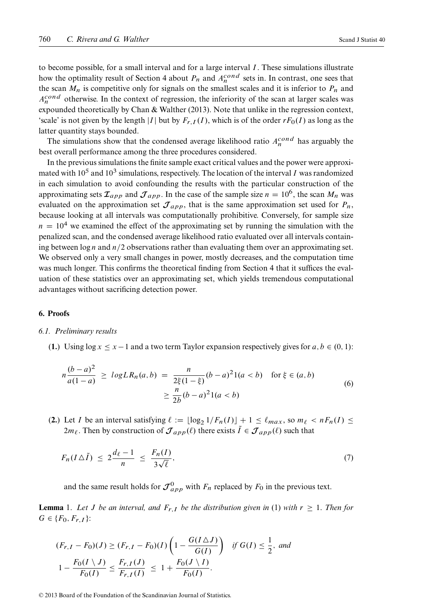to become possible, for a small interval and for a large interval  $I$ . These simulations illustrate how the optimality result of Section [4](#page-6-1) about  $P_n$  and  $A_n^{cond}$  sets in. In contrast, one sees that the scan  $M_n$  is competitive only for signals on the smallest scales and it is inferior to  $P_n$  and  $A_n^{cond}$  otherwise. In the context of regression, the inferiority of the scan at larger scales was expounded theoretically by [Chan & Walther \(2013\)](#page-17-6). Note that unlike in the regression context, 'scale' is not given by the length |I| but by  $F_{r,I}(I)$ , which is of the order  $rF_0(I)$  as long as the latter quantity stays bounded.

The simulations show that the condensed average likelihood ratio  $A_n^{cond}$  has arguably the best overall performance among the three procedures considered.

In the previous simulations the finite sample exact critical values and the power were approximated with  $10^5$  and  $10^3$  simulations, respectively. The location of the interval I was randomized in each simulation to avoid confounding the results with the particular construction of the approximating sets  $\mathcal{I}_{app}$  and  $\mathcal{J}_{app}$ . In the case of the sample size  $n = 10^6$ , the scan  $M_n$  was evaluated on the approximation set  $\mathcal{J}_{app}$ , that is the same approximation set used for  $P_n$ , because looking at all intervals was computationally prohibitive. Conversely, for sample size  $n = 10<sup>4</sup>$  we examined the effect of the approximating set by running the simulation with the penalized scan, and the condensed average likelihood ratio evaluated over all intervals containing between  $\log n$  and  $n/2$  observations rather than evaluating them over an approximating set. We observed only a very small changes in power, mostly decreases, and the computation time was much longer. This confirms the theoretical finding from Section [4](#page-6-1) that it suffices the evaluation of these statistics over an approximating set, which yields tremendous computational advantages without sacrificing detection power.

#### **6. Proofs**

#### <span id="page-8-1"></span>*6.1. Preliminary results*

(**1.**) Using  $\log x \le x - 1$  and a two term Taylor expansion respectively gives for  $a, b \in (0, 1)$ :

$$
n\frac{(b-a)^2}{a(1-a)} \ge \log LR_n(a,b) = \frac{n}{2\xi(1-\xi)}(b-a)^2 1(a < b) \quad \text{for } \xi \in (a,b)
$$
  

$$
\ge \frac{n}{2b}(b-a)^2 1(a < b)
$$
 (6)

(2.) Let I be an interval satisfying  $\ell := \lfloor \log_2 1/F_n(I) \rfloor + 1 \leq \ell_{max}$ , so  $m_{\ell} < nF_n(I) \leq$ 2m<sub> $\ell$ </sub>. Then by construction of  $\mathcal{J}_{app}(\ell)$  there exists  $\tilde{I} \in \mathcal{J}_{app}(\ell)$  such that

$$
F_n(I \triangle \tilde{I}) \le 2\frac{d_{\ell} - 1}{n} \le \frac{F_n(I)}{3\sqrt{\ell}},\tag{7}
$$

and the same result holds for  $\mathcal{J}_{app}^0$  with  $F_n$  replaced by  $F_0$  in the previous text.

<span id="page-8-0"></span>**Lemma** 1. Let *J* be an interval, and  $F_{r,I}$  be the distribution given in [\(1\)](#page--1-3) with  $r \geq 1$ . Then for  $G \in \{F_0, F_{r,I}\}$ :

$$
(F_{r,I} - F_0)(J) \ge (F_{r,I} - F_0)(I) \left(1 - \frac{G(I \triangle J)}{G(I)}\right) \quad \text{if } G(I) \le \frac{1}{2}, \text{ and}
$$
  

$$
1 - \frac{F_0(I \setminus J)}{F_0(I)} \le \frac{F_{r,I}(J)}{F_{r,I}(I)} \le 1 + \frac{F_0(J \setminus I)}{F_0(I)}.
$$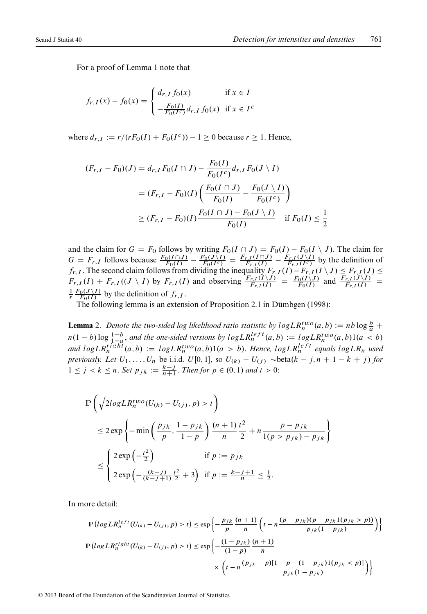For a proof of Lemma [1](#page-8-0) note that

$$
f_{r,I}(x) - f_0(x) = \begin{cases} d_{r,I} f_0(x) & \text{if } x \in I \\ -\frac{F_0(I)}{F_0(I^c)} d_{r,I} f_0(x) & \text{if } x \in I^c \end{cases}
$$

where  $d_{r,I} := r/(rF_0(I) + F_0(I^c)) - 1 \ge 0$  because  $r \ge 1$ . Hence,

$$
(F_{r,I} - F_0)(J) = d_{r,I} F_0(I \cap J) - \frac{F_0(I)}{F_0(I^c)} d_{r,I} F_0(J \setminus I)
$$
  
=  $(F_{r,I} - F_0)(I) \left( \frac{F_0(I \cap J)}{F_0(I)} - \frac{F_0(J \setminus I)}{F_0(I^c)} \right)$   
 $\ge (F_{r,I} - F_0)(I) \frac{F_0(I \cap J) - F_0(J \setminus I)}{F_0(I)}$  if  $F_0(I) \le \frac{1}{2}$ 

and the claim for  $G = F_0$  follows by writing  $F_0(I \cap J) = F_0(I) - F_0(I \setminus J)$ . The claim for  $G = F_{r,I}$  follows because  $\frac{F_0(I \cap J)}{F_0(I)} - \frac{F_0(J \setminus I)}{F_0(I^c)} = \frac{F_{r,I}(I \cap J)}{F_{r,I}(I)} - \frac{F_{r,I}(J \setminus I)}{F_{r,I}(I^c)}$  by the definition of  $f_{r,1}$ . The second claim follows from dividing the inequality  $F_{r,1}(I)-F_{r,1}(I \setminus J) \leq F_{r,1}(J) \leq$  $F_{r,1}(I) + F_{r,1}((J \setminus I)$  by  $F_{r,1}(I)$  and observing  $\frac{F_{r,1}(I \setminus J)}{F_{r,1}(I)} = \frac{F_0(I \setminus J)}{F_0(I)}$  and  $\frac{F_{r,1}(J \setminus I)}{F_{r,1}(I)} =$  $\frac{1}{r} \frac{F_0(J \setminus I)}{F_0(I)}$  by the definition of  $f_{r,I}$ .

The following lemma is an extension of Proposition 2.1 in [Dümbgen \(1998\)](#page-17-18):

<span id="page-9-0"></span>**Lemma** 2. Denote the two-sided log likelihood ratio statistic by  $log LR_n^{two}(a, b) := nb log \frac{b}{a} +$  $n(1-b)\log\frac{1-b}{1-a}$ , and the one-sided versions by  $logLR_n^{left}(a,b) := logLR_n^{two}(a,b)1(a < b)$ and  $logLR_n^{right}(a,b) := logLR_n^{two}(a,b)1(a > b)$ . *Hence,*  $logLR_n^{left}$  equals  $logLR_n$  used *previously. Let*  $U_1, ..., U_n$  be i.i.d.  $U[0, 1]$ , so  $U_{(k)} - U_{(j)} \sim \text{beta}(k - j, n + 1 - k + j)$  for  $1 \le j < k \le n$ . *Set*  $p_{jk} := \frac{k-j}{n+1}$ . *Then for*  $p \in (0,1)$  *and*  $t > 0$ :

$$
\mathbb{P}\left(\sqrt{2logLR_n^{two}(U_{(k)} - U_{(j)}, p)} > t\right)
$$
\n
$$
\leq 2 \exp\left\{-\min\left(\frac{p_{jk}}{p}, \frac{1 - p_{jk}}{1 - p}\right) \frac{(n + 1) t^2}{n} + n \frac{p - p_{jk}}{1(p > p_{jk}) - p_{jk}}\right\}
$$
\n
$$
\leq \begin{cases}\n2 \exp\left(-\frac{t^2}{2}\right) & \text{if } p := p_{jk} \\
2 \exp\left(-\frac{(k - j)}{(k - j + 1)} \frac{t^2}{2} + 3\right) & \text{if } p := \frac{k - j + 1}{n} \leq \frac{1}{2}.\n\end{cases}
$$

In more detail:

$$
\mathbb{P}\left(\log LR_n^{left}(U_{(k)} - U_{(j)}, p) > t\right) \le \exp\left\{-\frac{p_{jk}}{p} \frac{(n+1)}{n} \left(t - n\frac{(p - p_{jk})(p - p_{jk}(p_{jk} > p))}{p_{jk}(1 - p_{jk})}\right)\right\}
$$
\n
$$
\mathbb{P}\left(\log LR_n^{right}(U_{(k)} - U_{(j)}, p) > t\right) \le \exp\left\{-\frac{(1 - p_{jk})}{(1 - p)} \frac{(n+1)}{n} \times \left(t - n\frac{(p_{jk} - p)[1 - p - (1 - p_{jk})1(p_{jk} < p)]}{p_{jk}(1 - p_{jk})}\right)\right\}
$$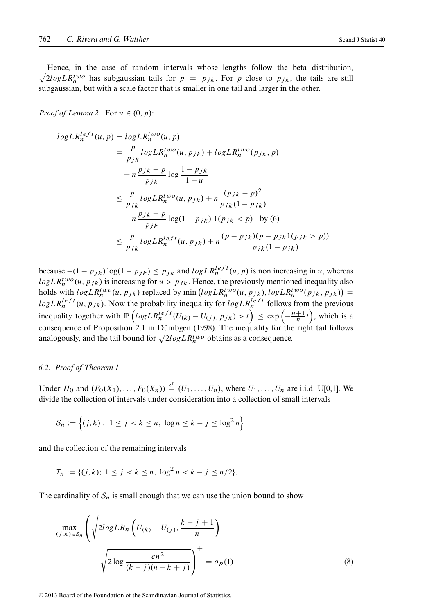Hence, in the case of random intervals whose lengths follow the beta distribution,  $\sqrt{2logLR_h^{two}}$  has subgaussian tails for  $p = p_{jk}$ . For p close to  $p_{jk}$ , the tails are still subgaussian, but with a scale factor that is smaller in one tail and larger in the other.

*Proof of Lemma* [2.](#page-9-0) For  $u \in (0, p)$ :

$$
logLR_n^{left}(u, p) = logLR_n^{two}(u, p)
$$
  
=  $\frac{p}{p_{jk}} logLR_n^{two}(u, p_{jk}) + logLR_n^{two}(p_{jk}, p)$   
+  $n \frac{p_{jk} - p}{p_{jk}} log \frac{1 - p_{jk}}{1 - u}$   
 $\leq \frac{p}{p_{jk}} logLR_n^{two}(u, p_{jk}) + n \frac{(p_{jk} - p)^2}{p_{jk}(1 - p_{jk})}$   
+  $n \frac{p_{jk} - p}{p_{jk}} log(1 - p_{jk}) 1(p_{jk} < p)$  by (6)  
 $\leq \frac{p}{p_{jk}} logLR_n^{left}(u, p_{jk}) + n \frac{(p - p_{jk})(p - p_{jk}1(p_{jk} > p))}{p_{jk}(1 - p_{jk})}$ 

because  $-(1 - p_{jk}) \log(1 - p_{jk}) \leq p_{jk}$  and  $logLR_n^{left}(u, p)$  is non increasing in u, whereas  $logLR_n^{two}(u, p_{jk})$  is increasing for  $u > p_{jk}$ . Hence, the previously mentioned inequality also holds with  $logLR_h^{two}(u, p_{jk})$  replaced by min  $(logLR_h^{two}(u, p_{jk}), logLR_h^{two}(p_{jk}, p_{jk}))$  =  $logLR_n^{left}(u, p_{jk})$ . Now the probability inequality for  $logLR_n^{left}$  follows from the previous inequality together with  $\mathbb{P}\left(\log LR_n^{left}(U_{(k)} - U_{(j)}, p_{jk}) > t\right) \leq \exp\left(-\frac{n+1}{n}t\right)\right)$  $\sqrt{ }$ , which is a consequence of Proposition 2.1 in [Dümbgen \(1998\)](#page-17-18). The inequality for the right tail follows analogously, and the tail bound for  $\sqrt{2logLR_h^{two}}$  obtains as a consequence.  $\Box$ 

#### *6.2. Proof of Theorem [1](#page-5-0)*

Under  $H_0$  and  $(F_0(X_1),..., F_0(X_n)) \stackrel{d}{=} (U_1,...,U_n)$ , where  $U_1,..., U_n$  are i.i.d. U[0,1]. We divide the collection of intervals under consideration into a collection of small intervals

$$
\mathcal{S}_n := \left\{ (j,k) : 1 \le j < k \le n, \ \log n \le k - j \le \log^2 n \right\}
$$

and the collection of the remaining intervals

$$
\mathcal{I}_n := \{ (j,k); \ 1 \le j < k \le n, \ \log^2 n < k - j \le n/2 \}.
$$

The cardinality of  $S_n$  is small enough that we can use the union bound to show

$$
\max_{(j,k)\in S_n} \left( \sqrt{2logLR_n \left( U_{(k)} - U_{(j)}, \frac{k-j+1}{n} \right)} - \sqrt{2log \frac{en^2}{(k-j)(n-k+j)}} \right)^+ = o_p(1)
$$
\n(8)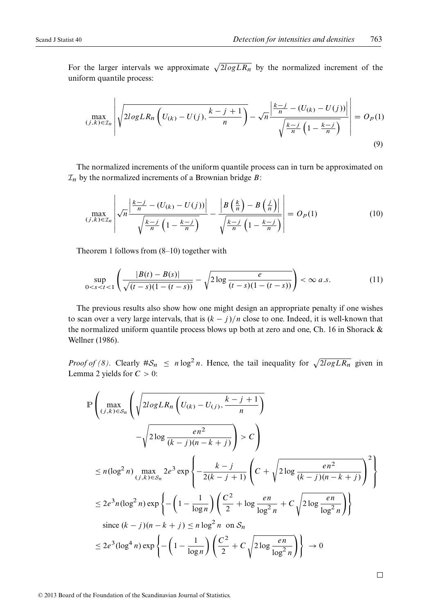For the larger intervals we approximate  $\sqrt{2logLR_n}$  by the normalized increment of the uniform quantile process:

$$
\max_{(j,k)\in\mathcal{I}_n} \left| \sqrt{2logLR_n \left( U_{(k)} - U(j), \frac{k-j+1}{n} \right)} - \sqrt{n} \frac{\left| \frac{k-j}{n} - (U_{(k)} - U(j)) \right|}{\sqrt{\frac{k-j}{n} \left( 1 - \frac{k-j}{n} \right)}} \right| = O_p(1)
$$
\n(9)

The normalized increments of the uniform quantile process can in turn be approximated on  $\mathcal{I}_n$  by the normalized increments of a Brownian bridge B:

$$
\max_{(j,k)\in\mathcal{I}_n} \left| \sqrt{n} \frac{\left| \frac{k-j}{n} - (U_{(k)} - U(j)) \right|}{\sqrt{\frac{k-j}{n} \left(1 - \frac{k-j}{n}\right)}} - \frac{\left| B\left(\frac{k}{n}\right) - B\left(\frac{j}{n}\right) \right|}{\sqrt{\frac{k-j}{n} \left(1 - \frac{k-j}{n}\right)}} \right| = O_p(1) \tag{10}
$$

Theorem [1](#page-5-0) follows from [\(8–10\)](#page-9-0) together with

$$
\sup_{0 < s < t < 1} \left( \frac{|B(t) - B(s)|}{\sqrt{(t - s)(1 - (t - s))}} - \sqrt{2 \log \frac{e}{(t - s)(1 - (t - s))}} \right) < \infty \ a.s. \tag{11}
$$

The previous results also show how one might design an appropriate penalty if one wishes to scan over a very large intervals, that is  $(k - j)/n$  close to one. Indeed, it is well-known that the normalized uniform quantile process blows up both at zero and one, Ch. 16 in Shorack & Wellner (1986).

*Proof of [\(8\)](#page-9-0)*. Clearly  $\#\mathcal{S}_n \le n \log^2 n$ . Hence, the tail inequality for  $\sqrt{2\log LR_n}$  given in Lemma [2](#page-9-0) yields for  $C > 0$ :

$$
\mathbb{P}\left(\max_{(j,k)\in\mathcal{S}_n}\left(\sqrt{2logLR_n\left(U_{(k)}-U_{(j)},\frac{k-j+1}{n}\right)}\right) \n- \sqrt{2log\frac{en^2}{(k-j)(n-k+j)}}\right) > C\right)
$$
\n
$$
\leq n(\log^2 n) \max_{(j,k)\in\mathcal{S}_n} 2e^3 \exp\left\{-\frac{k-j}{2(k-j+1)}\left(C+\sqrt{2log\frac{en^2}{(k-j)(n-k+j)}}\right)^2\right\}
$$
\n
$$
\leq 2e^3n(\log^2 n) \exp\left\{-\left(1-\frac{1}{\log n}\right)\left(\frac{C^2}{2}+\log\frac{en}{\log^2 n}+C\sqrt{2log\frac{en}{\log^2 n}}\right)\right\}
$$
\nsince  $(k-j)(n-k+j) \leq n \log^2 n$  on  $\mathcal{S}_n$   
\n
$$
\leq 2e^3(\log^4 n) \exp\left\{-\left(1-\frac{1}{\log n}\right)\left(\frac{C^2}{2}+C\sqrt{2log\frac{en}{\log^2 n}}\right)\right\} \to 0
$$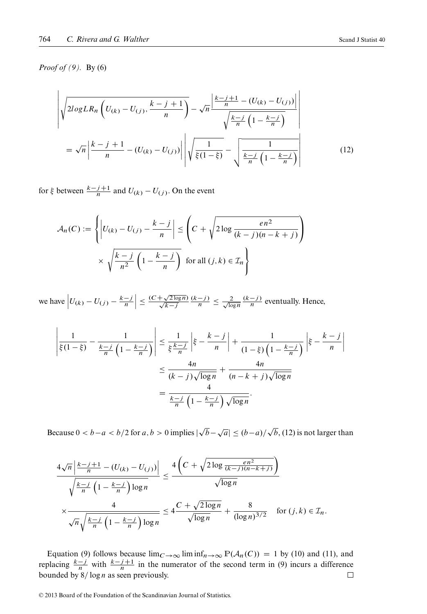*Proof of [\(9\)](#page-9-0).* By [\(6\)](#page-8-1)

$$
\sqrt{2logLR_n \left( U_{(k)} - U_{(j)}, \frac{k-j+1}{n} \right)} - \sqrt{n} \frac{\left| \frac{k-j+1}{n} - (U_{(k)} - U_{(j)}) \right|}{\sqrt{\frac{k-j}{n} \left( 1 - \frac{k-j}{n} \right)}}
$$
\n
$$
= \sqrt{n} \left| \frac{k-j+1}{n} - (U_{(k)} - U_{(j)}) \right| \sqrt{\frac{1}{\xi(1-\xi)}} - \sqrt{\frac{1}{\frac{k-j}{n} \left( 1 - \frac{k-j}{n} \right)}} \tag{12}
$$

for  $\xi$  between  $\frac{k-j+1}{n}$  and  $U_{(k)} - U_{(j)}$ . On the event

$$
\mathcal{A}_n(C) := \left\{ \left| U_{(k)} - U_{(j)} - \frac{k-j}{n} \right| \le \left( C + \sqrt{2 \log \frac{en^2}{(k-j)(n-k+j)}} \right) \right\}
$$

$$
\times \sqrt{\frac{k-j}{n^2} \left( 1 - \frac{k-j}{n} \right)} \text{ for all } (j,k) \in \mathcal{I}_n \right\}
$$

we have  $U_{(k)} - U_{(j)} - \frac{k-j}{n}$  $\leq \frac{(C + \sqrt{2 \log n})}{\sqrt{k - i}}$  $k - j$  $\frac{(k-j)}{n} \leq \frac{2}{\sqrt{\log n}} \frac{(k-j)}{n}$  eventually. Hence,

$$
\left|\frac{1}{\xi(1-\xi)} - \frac{1}{\frac{k-j}{n}\left(1-\frac{k-j}{n}\right)}\right| \le \frac{1}{\xi\frac{k-j}{n}} \left|\xi - \frac{k-j}{n}\right| + \frac{1}{(1-\xi)\left(1-\frac{k-j}{n}\right)} \left|\xi - \frac{k-j}{n}\right|
$$

$$
\le \frac{4n}{(k-j)\sqrt{\log n}} + \frac{4n}{(n-k+j)\sqrt{\log n}}
$$

$$
= \frac{4}{\frac{k-j}{n}\left(1-\frac{k-j}{n}\right)\sqrt{\log n}}.
$$

Because  $0 < b-a < b/2$  for  $a, b > 0$  implies  $|\sqrt{b} - \sqrt{a}| \le (b-a)/\sqrt{b}$ , [\(12\)](#page-9-0) is not larger than

$$
\frac{4\sqrt{n}\left|\frac{k-j+1}{n} - (U_{(k)} - U_{(j)})\right|}{\sqrt{\frac{k-j}{n}\left(1 - \frac{k-j}{n}\right)\log n}} \le \frac{4\left(C + \sqrt{2\log\frac{en^2}{(k-j)(n-k+j)}}\right)}{\sqrt{\log n}}
$$

$$
\times \frac{4}{\sqrt{n}\sqrt{\frac{k-j}{n}\left(1 - \frac{k-j}{n}\right)\log n}} \le 4\frac{C + \sqrt{2\log n}}{\sqrt{\log n}} + \frac{8}{(\log n)^{3/2}} \quad \text{for } (j,k) \in \mathcal{I}_n.
$$

Equation [\(9\)](#page-9-0) follows because  $\lim_{C \to \infty} \lim_{n \to \infty} P(\mathcal{A}_n(C)) = 1$  by [\(10\)](#page-9-0) and [\(11\)](#page-9-0), and replacing  $\frac{k-j}{n}$  with  $\frac{k-j+1}{n}$  in the numerator of the second term in [\(9\)](#page-9-0) incurs a difference bounded by  $8/\log n$  as seen previously.  $\Box$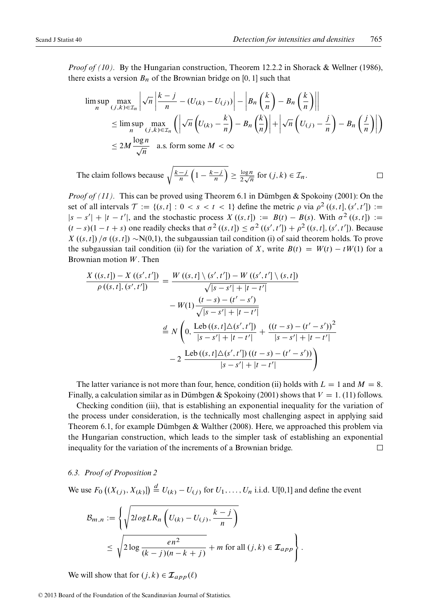*Proof of [\(10\)](#page-9-0).* By the Hungarian construction, Theorem 12.2.2 in [Shorack & Wellner \(1986\)](#page-17-13), there exists a version  $B_n$  of the Brownian bridge on [0, 1] such that

$$
\limsup_{n} \max_{(j,k)\in\mathcal{I}_n} \left| \sqrt{n} \left| \frac{k-j}{n} - (U_{(k)} - U_{(j)}) \right| - \left| B_n \left( \frac{k}{n} \right) - B_n \left( \frac{k}{n} \right) \right| \right|
$$
\n
$$
\leq \limsup_{n} \max_{(j,k)\in\mathcal{I}_n} \left( \left| \sqrt{n} \left( U_{(k)} - \frac{k}{n} \right) - B_n \left( \frac{k}{n} \right) \right| + \left| \sqrt{n} \left( U_{(j)} - \frac{j}{n} \right) - B_n \left( \frac{j}{n} \right) \right| \right)
$$
\n
$$
\leq 2M \frac{\log n}{\sqrt{n}} \quad \text{a.s. form some } M < \infty
$$

The claim follows because  $\sqrt{\frac{k-j}{n}}$  $\sqrt{1-\frac{k-j}{n}}$  $\overline{\sqrt{ }}$  $\geq \frac{\log n}{2\sqrt{n}}$  for  $(j,k) \in \mathcal{I}_n$ .  $\Box$ 

*Proof of [\(11\)](#page-9-0)*. This can be proved using Theorem 6.1 in [Dümbgen & Spokoiny \(2001\)](#page-17-7): On the set of all intervals  $\mathcal{T} := \{(s,t] : 0 < s < t < 1\}$  define the metric  $\rho$  via  $\rho^2((s,t], (s',t')) :=$  $|s - s'| + |t - t'|$ , and the stochastic process  $X((s,t]) := B(t) - B(s)$ . With  $\sigma^2((s,t]) :=$  $(t - s)(1 - t + s)$  one readily checks that  $\sigma^2 ((s, t]) \leq \sigma^2 ((s', t']) + \rho^2 ((s, t], (s', t')).$  Because  $X((s,t]) / \sigma((s,t]) \sim N(0,1)$ , the subgaussian tail condition (i) of said theorem holds. To prove the subgaussian tail condition (ii) for the variation of X, write  $B(t) = W(t) - tW(1)$  for a Brownian motion  $W$ . Then

$$
\frac{X((s,t]) - X((s',t'])}{\rho((s,t], (s',t'])} = \frac{W((s,t] \setminus (s',t']) - W((s',t'] \setminus (s,t])}{\sqrt{|s-s'| + |t-t'|}} \n- W(1) \frac{(t-s) - (t'-s')}{\sqrt{|s-s'| + |t-t'|}} \n\stackrel{d}{=} N\left(0, \frac{\text{Leb}((s,t] \Delta(s',t'])}{|s-s'| + |t-t'|} + \frac{((t-s) - (t'-s'))^2}{|s-s'| + |t-t'|}\right) \n- 2 \frac{\text{Leb}((s,t] \Delta(s',t'))((t-s) - (t'-s'))}{|s-s'| + |t-t'|}\right)
$$

The latter variance is not more than four, hence, condition (ii) holds with  $L = 1$  and  $M = 8$ . Finally, a calculation similar as in [Dümbgen & Spokoiny \(2001\)](#page-17-7) shows that  $V = 1$ . [\(11\)](#page-9-0) follows.

Checking condition (iii), that is establishing an exponential inequality for the variation of the process under consideration, is the technically most challenging aspect in applying said Theorem 6.1, for example [Dümbgen & Walther \(2008\)](#page-17-19). Here, we approached this problem via the Hungarian construction, which leads to the simpler task of establishing an exponential inequality for the variation of the increments of a Brownian bridge.  $\Box$ 

## *6.3. Proof of Proposition [2](#page-6-1)*

We use  $F_0((X_{(j)}, X_{(k)}) \stackrel{d}{=} U_{(k)} - U_{(j)}$  for  $U_1, \ldots, U_n$  i.i.d. U[0,1] and define the event

$$
\mathcal{B}_{m,n} := \left\{ \sqrt{2logLR_n \left( U_{(k)} - U_{(j)}, \frac{k-j}{n} \right)} \right\}
$$
  
 
$$
\leq \sqrt{2log \frac{en^2}{(k-j)(n-k+j)} + m \text{ for all } (j,k) \in \mathcal{I}_{app}} \right\}.
$$

We will show that for  $(j, k) \in \mathcal{I}_{app}(\ell)$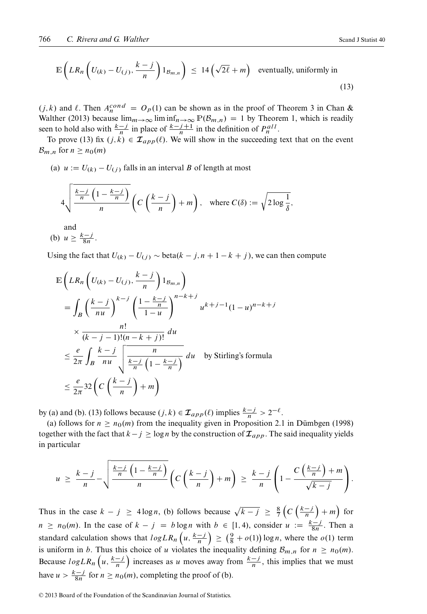;

$$
\mathbb{E}\left(LR_n\left(U_{(k)}-U_{(j)},\frac{k-j}{n}\right)1_{B_{m,n}}\right) \le 14\left(\sqrt{2\ell}+m\right) \quad \text{eventually, uniformly in}
$$
\n(13)

 $(j, k)$  and  $\ell$ . Then  $A_n^{cond} = O_p(1)$  can be shown as in the proof of Theorem 3 in Chan & Walther (2013) because  $\lim_{m\to\infty} \liminf_{n\to\infty} P(\mathcal{B}_{m,n}) = 1$  $\lim_{m\to\infty} \liminf_{n\to\infty} P(\mathcal{B}_{m,n}) = 1$  $\lim_{m\to\infty} \liminf_{n\to\infty} P(\mathcal{B}_{m,n}) = 1$  by Theorem [1,](#page-5-0) which is readily seen to hold also with  $\frac{k-j}{n}$  in place of  $\frac{k-j+1}{n}$  in the definition of  $P_n^{all}$ .

To prove [\(13\)](#page-9-0) fix  $(j,k) \in \mathcal{I}_{app}(\ell)$ . We will show in the succeeding text that on the event  $B_{m,n}$  for  $n \ge n_0(m)$ 

(a)  $u := U_{(k)} - U_{(j)}$  falls in an interval B of length at most

$$
4\sqrt{\frac{\frac{k-j}{n}\left(1-\frac{k-j}{n}\right)}{n}}\left(C\left(\frac{k-j}{n}\right)+m\right), \text{ where } C(\delta) := \sqrt{2\log\frac{1}{\delta}}
$$

and (b)  $u \geq \frac{k-j}{8n}$ .

Using the fact that  $U_{(k)} - U_{(i)} \sim \text{beta}(k - j, n + 1 - k + j)$ , we can then compute

$$
\mathbb{E}\left(LR_n\left(U_{(k)}-U_{(j)},\frac{k-j}{n}\right)1_{B_{m,n}}\right)
$$
\n
$$
=\int_B\left(\frac{k-j}{nu}\right)^{k-j}\left(\frac{1-\frac{k-j}{n}}{1-u}\right)^{n-k+j}u^{k+j-1}(1-u)^{n-k+j}
$$
\n
$$
\times \frac{n!}{(k-j-1)!(n-k+j)!}du
$$
\n
$$
\leq \frac{e}{2\pi}\int_B\frac{k-j}{nu}\sqrt{\frac{n}{\frac{k-j}{n}\left(1-\frac{k-j}{n}\right)}}du \quad \text{by Stirling's formula}
$$
\n
$$
\leq \frac{e}{2\pi}32\left(C\left(\frac{k-j}{n}\right)+m\right)
$$

by (a) and (b). [\(13\)](#page-9-0) follows because  $(j, k) \in \mathcal{I}_{app}(\ell)$  implies  $\frac{k-j}{n} > 2^{-\ell}$ .

(a) follows for  $n \ge n_0(m)$  from the inequality given in Proposition 2.1 in [Dümbgen \(1998\)](#page-17-18) together with the fact that  $k - j \ge \log n$  by the construction of  $\mathcal{I}_{app}$ . The said inequality yields in particular

$$
u \geq \frac{k-j}{n} - \sqrt{\frac{\frac{k-j}{n} \left(1 - \frac{k-j}{n}\right)}{n}} \left(C\left(\frac{k-j}{n}\right) + m\right) \geq \frac{k-j}{n} \left(1 - \frac{C\left(\frac{k-j}{n}\right) + m}{\sqrt{k-j}}\right).
$$

Thus in the case  $k - j \ge 4 \log n$ , (b) follows because  $\sqrt{k - j} \ge \frac{8}{7}$  $\overline{c}$  $\left(\frac{k-j}{n}\right)$  $\overline{ }$  $+m$  $\overline{ }$ for  $n \ge n_0(m)$ . In the case of  $k - j = b \log n$  with  $b \in [1, 4)$ , consider  $u := \frac{k-j}{8n}$ . Then a standard calculation shows that  $logLR_n$  $\left(u, \frac{k-j}{n}\right)$  $\frac{1}{\sqrt{2}}$  $\geq (\frac{9}{8} + o(1)) \log n$ , where the  $o(1)$  term is uniform in b. Thus this choice of u violates the inequality defining  $\mathcal{B}_{m,n}$  for  $n \ge n_0(m)$ . Because  $logLR_n\left(u, \frac{k-j}{n}\right)$  increases as u moves away from  $\frac{k-j}{n}$ , this implies that we must have  $u > \frac{k-j}{8n}$  for  $n \ge n_0(m)$ , completing the proof of (b).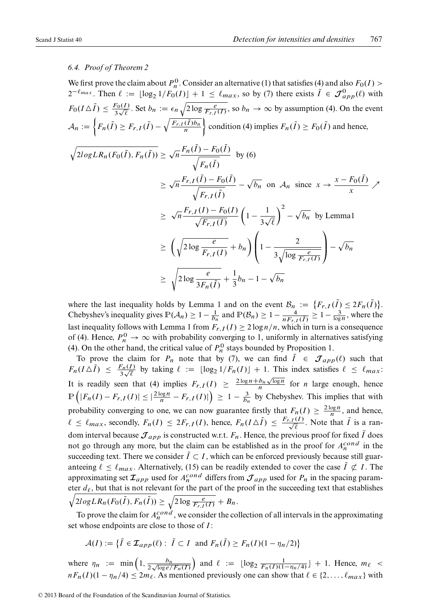## *6.4. Proof of Theorem [2](#page-6-0)*

We first prove the claim about  $P_n^0$ . Consider an alternative [\(1\)](#page--1-3) that satisfies [\(4\)](#page-6-1) and also  $F_0(I)$  >  $2^{-\ell_{max}}$ . Then  $\ell := \lfloor \log_2 1/F_0(I) \rfloor + 1 \leq \ell_{max}$ , so by [\(7\)](#page-8-1) there exists  $\tilde{I} \in \mathcal{J}_{app}^0(\ell)$  with  $F_0(I \triangle \tilde{I}) \leq \frac{F_0(I)}{3\sqrt{\ell}}$ . Set  $b_n := \epsilon_n \sqrt{2 \log \frac{e}{F_{r,I}(I)}}$ , so  $b_n \to \infty$  by assumption [\(4\)](#page-6-1). On the event  $A_n := \left\{ F_n(\tilde{I}) \geq F_{r,I}(\tilde{I}) - \sqrt{\frac{F_{r,I}(\tilde{I})b_n}{n}} \right\}$ <sup>1</sup> condition [\(4\)](#page-6-1) implies  $F_n(\tilde{I}) \ge F_0(\tilde{I})$  and hence,

$$
\sqrt{2logLR_n(F_0(\tilde{I}), F_n(\tilde{I}))} \ge \sqrt{n} \frac{F_n(\tilde{I}) - F_0(\tilde{I})}{\sqrt{F_n(\tilde{I})}} \text{ by (6)}
$$
\n
$$
\ge \sqrt{n} \frac{F_{r, I}(\tilde{I}) - F_0(\tilde{I})}{\sqrt{F_{r, I}(\tilde{I})}} - \sqrt{b_n} \text{ on } \mathcal{A}_n \text{ since } x \to \frac{x - F_0(\tilde{I})}{x} \nearrow
$$
\n
$$
\ge \sqrt{n} \frac{F_{r, I}(I) - F_0(I)}{\sqrt{F_{r, I}(I)}} \left(1 - \frac{1}{3\sqrt{\ell}}\right)^2 - \sqrt{b_n} \text{ by Lemma 1}
$$
\n
$$
\ge \left(\sqrt{2log \frac{e}{F_{r, I}(I)}} + b_n\right) \left(1 - \frac{2}{3\sqrt{\log \frac{e}{F_{r, I}(I)}}}\right) - \sqrt{b_n}
$$
\n
$$
\ge \sqrt{2log \frac{e}{3F_n(\tilde{I})}} + \frac{1}{3}b_n - 1 - \sqrt{b_n}
$$

where the last inequality holds by Lemma [1](#page-8-0) and on the event  $\mathcal{B}_n := \{F_{r,I}(\tilde{I}) \leq 2F_n(\tilde{I})\}.$ Chebyshev's inequality gives  $\mathbb{P}(\mathcal{A}_n) \geq 1 - \frac{1}{b_n}$  and  $\mathbb{P}(\mathcal{B}_n) \geq 1 - \frac{4}{nF_{r,I}(\tilde{I})} \geq 1 - \frac{3}{\log n}$ , where the last inequality follows with Lemma [1](#page-8-0) from  $F_{r,I}(I) \geq 2 \log n/n$ , which in turn is a consequence of [\(4\)](#page-6-1). Hence,  $P_n^0 \to \infty$  with probability converging to 1, uniformly in alternatives satisfying [\(4\)](#page-6-1). On the other hand, the critical value of  $P_n^0$  stays bounded by Proposition [1.](#page-4-0)

To prove the claim for  $P_n$  note that by [\(7\)](#page-8-1), we can find  $\tilde{I} \in \mathcal{J}_{app}(\ell)$  such that  $F_n(I \triangle \tilde{I}) \leq \frac{F_n(I)}{3\sqrt{\ell}}$  by taking  $\ell := \lfloor \log_2 1/F_n(I) \rfloor + 1$ . This index satisfies  $\ell \leq \ell_{max}$ : It is readily seen that [\(4\)](#page-6-1) implies  $F_{r,I}(I) \geq \frac{2 \log n + b_n \sqrt{\log n}}{n}$  for *n* large enough, hence  $\mathbb{P}\left(|F_n(I) - F_{r,I}(I)| \leq |\frac{2\log n}{n} - F_{r,I}(I)|\right)$  $\bar{\zeta}$  $\geq 1 - \frac{3}{b_n}$  by Chebyshev. This implies that with probability converging to one, we can now guarantee firstly that  $F_n(I) \geq \frac{2 \log n}{n}$ , and hence,  $\ell \leq \ell_{max}$ , secondly,  $F_n(I) \leq 2F_{r,I}(I)$ , hence,  $F_n(I \Delta \tilde{I}) \leq \frac{F_{r,I}(I)}{\sqrt{\ell}}$ . Note that  $\tilde{I}$  is a random interval because  $\mathcal{J}_{app}$  is constructed w.r.t.  $F_n$ . Hence, the previous proof for fixed  $\tilde{I}$  does not go through any more, but the claim can be established as in the proof for  $A_n^{cond}$  in the succeeding text. There we consider  $\tilde{I} \subset I$ , which can be enforced previously because still guaranteeing  $\ell \leq \ell_{max}$ . Alternatively, [\(15\)](#page-9-0) can be readily extended to cover the case  $\tilde{I} \not\subset I$ . The approximating set  $\mathcal{I}_{app}$  used for  $A_n^{cond}$  differs from  $\mathcal{J}_{app}$  used for  $P_n$  in the spacing parameter  $d_\ell$ , but that is not relevant for the part of the proof in the succeeding text that establishes  $\frac{1}{2logLR_n(F_0(\tilde{I}), F_n(\tilde{I}))} \geq \sqrt{2log\frac{e}{F_{r,I}(I)}} + B_n.$ 

To prove the claim for  $A_n^{cond}$ , we consider the collection of all intervals in the approximating set whose endpoints are close to those of  $I$ :

$$
\mathcal{A}(I) := \{ \tilde{I} \in \mathcal{I}_{app}(\ell) : \tilde{I} \subset I \text{ and } F_n(\tilde{I}) \ge F_n(I)(1 - \eta_n/2) \}
$$

where  $\eta_n := \min\left(1, \frac{b_n}{2\sqrt{\log e/F_n(I)}}\right)$  and  $\ell := \lfloor \log_2 \frac{1}{F_n(I)(1-\eta_n/4)} \rfloor + 1$ . Hence,  $m_\ell$  $nF_n(I)(1 - \eta_n/4) \leq 2m_\ell$ . As mentioned previously one can show that  $\ell \in \{2,\ldots,\ell_{max}\}$  with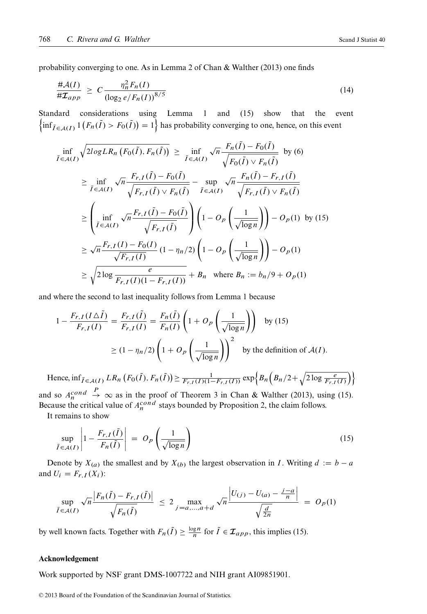probability converging to one. As in Lemma 2 of [Chan & Walther \(2013\)](#page-17-6) one finds

$$
\frac{\#A(I)}{\# \mathcal{I}_{app}} \ge C \frac{\eta_n^2 F_n(I)}{\left(\log_2 e / F_n(I)\right)^{8/5}}\tag{14}
$$

Standard considerations using Lemma [1](#page-8-0) and [\(15\)](#page-9-0) show that the event °  $\inf_{\tilde{I} \in \mathcal{A}(I)} 1 \big( F_n(\tilde{I}) > F_0(\tilde{I}) \big) = 1$ ا<br>ح has probability converging to one, hence, on this event

$$
\inf_{\tilde{I} \in \mathcal{A}(I)} \sqrt{2\log LR_n \left( F_0(\tilde{I}), F_n(\tilde{I}) \right)} \geq \inf_{\tilde{I} \in \mathcal{A}(I)} \sqrt{n} \frac{F_n(\tilde{I}) - F_0(\tilde{I})}{\sqrt{F_0(\tilde{I}) \vee F_n(\tilde{I})}} \text{ by (6)}
$$
\n
$$
\geq \inf_{\tilde{I} \in \mathcal{A}(I)} \sqrt{n} \frac{F_{r,I}(\tilde{I}) - F_0(\tilde{I})}{\sqrt{F_{r,I}(\tilde{I}) \vee F_n(\tilde{I})}} - \sup_{\tilde{I} \in \mathcal{A}(I)} \sqrt{n} \frac{F_n(\tilde{I}) - F_{r,I}(\tilde{I})}{\sqrt{F_{r,I}(\tilde{I}) \vee F_n(\tilde{I})}} \geq \left( \inf_{\tilde{I} \in \mathcal{A}(I)} \sqrt{n} \frac{F_{r,I}(\tilde{I}) - F_0(\tilde{I})}{\sqrt{F_{r,I}(\tilde{I})}} \right) \left( 1 - O_p \left( \frac{1}{\sqrt{\log n}} \right) \right) - O_p(1) \text{ by (15)}
$$
\n
$$
\geq \sqrt{n} \frac{F_{r,I}(I) - F_0(I)}{\sqrt{F_{r,I}(\tilde{I})}} \left( 1 - \eta_n/2 \right) \left( 1 - O_p \left( \frac{1}{\sqrt{\log n}} \right) \right) - O_p(1)
$$
\n
$$
\geq \sqrt{2 \log \frac{e}{F_{r,I}(I)(1 - F_{r,I}(I))}} + B_n \text{ where } B_n := b_n/9 + O_p(1)
$$

and where the second to last inequality follows from Lemma [1](#page-8-0) because

$$
1 - \frac{F_{r,I}(I \triangle \tilde{I})}{F_{r,I}(I)} = \frac{F_{r,I}(\tilde{I})}{F_{r,I}(I)} = \frac{F_n(\tilde{I})}{F_n(I)} \left( 1 + O_p\left(\frac{1}{\sqrt{\log n}}\right) \right) \text{ by (15)}
$$
  
 
$$
\geq (1 - \eta_n/2) \left( 1 + O_p\left(\frac{1}{\sqrt{\log n}}\right) \right)^2 \text{ by the definition of } \mathcal{A}(I).
$$

Hence,  $\inf_{\tilde{I}\in \mathcal{A}(I)} LR_n(F_0(\tilde{I}), F_n(\tilde{I})) \ge \frac{1}{F_{r,I}(I)(1-F_{r,I}(I))} \exp\left\{B_n\right\}$  $\left(B_n/2+\sqrt{2\log{\frac{e}{F_{r,I}(I)}}}\right)$  $\stackrel{P}{\rightarrow} \infty$  as in the proof of Theorem 3 in [Chan & Walther \(2013\)](#page-17-6), using [\(15\)](#page-9-0).

and so  $A_n^{cond}$ Because the critical value of  $A_n^{cond}$  stays bounded by Proposition [2,](#page-6-1) the claim follows.

It remains to show

$$
\sup_{\tilde{I} \in \mathcal{A}(I)} \left| 1 - \frac{F_{r,I}(\tilde{I})}{F_n(\tilde{I})} \right| = O_p\left(\frac{1}{\sqrt{\log n}}\right)
$$
\n(15)

Denote by  $X_{(a)}$  the smallest and by  $X_{(b)}$  the largest observation in I. Writing  $d := b - a$ and  $U_i = F_{r,I}(X_i)$ :

$$
\sup_{\tilde{I} \in \mathcal{A}(I)} \sqrt{n} \frac{|F_n(\tilde{I}) - F_{r, I}(\tilde{I})|}{\sqrt{F_n(\tilde{I})}} \le 2 \max_{j=a,...,a+d} \sqrt{n} \frac{|U_{(j)} - U_{(a)} - \frac{j-a}{n}|}{\sqrt{\frac{d}{2n}}} = O_p(1)
$$

by well known facts. Together with  $F_n(\tilde{I}) \ge \frac{\log n}{n}$  for  $\tilde{I} \in \mathcal{I}_{app}$ , this implies [\(15\)](#page-9-0).

#### **Acknowledgement**

Work supported by NSF grant DMS-1007722 and NIH grant AI09851901.